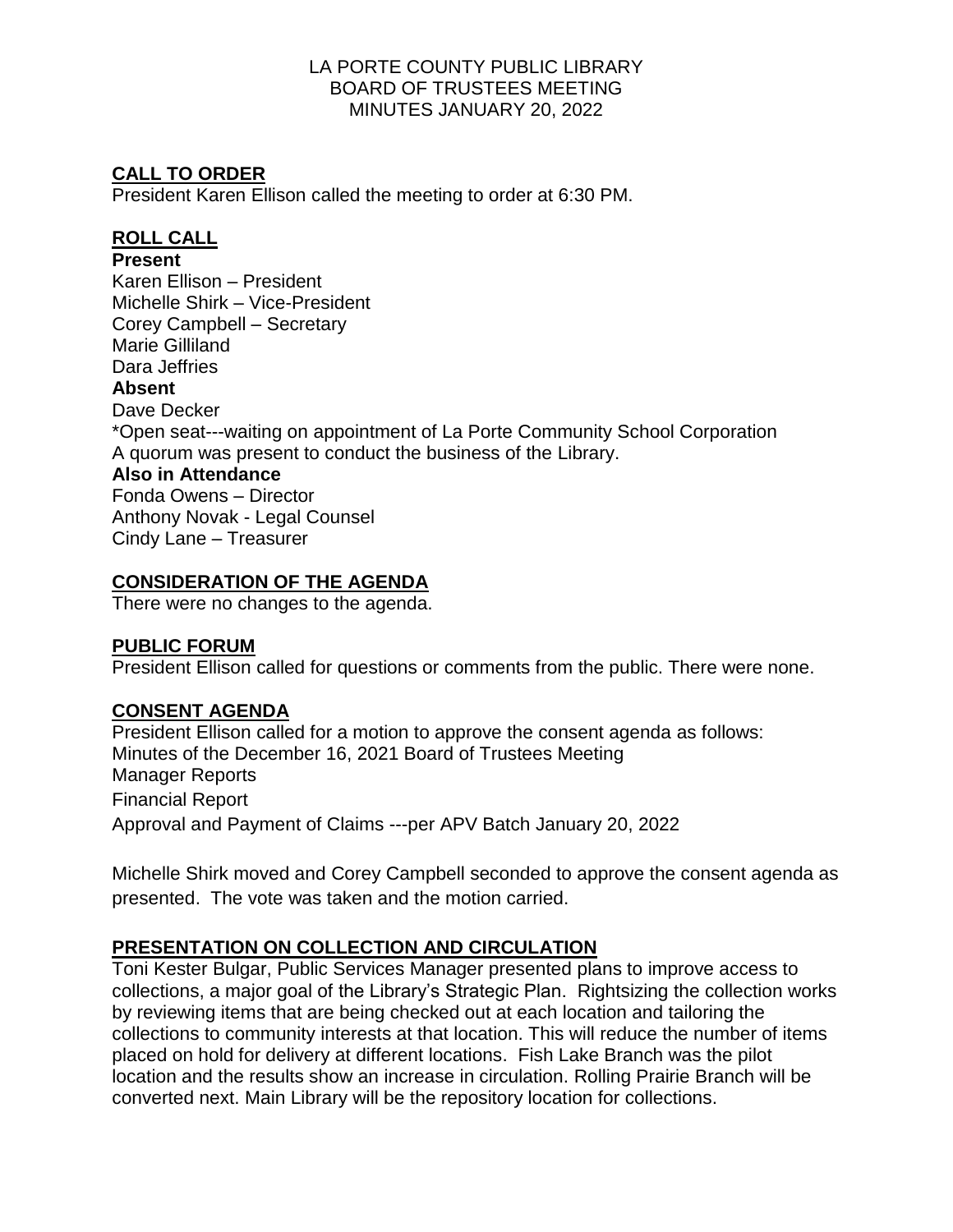# **CALL TO ORDER**

President Karen Ellison called the meeting to order at 6:30 PM.

## **ROLL CALL**

## **Present**

Karen Ellison – President Michelle Shirk – Vice-President Corey Campbell – Secretary Marie Gilliland Dara Jeffries **Absent** Dave Decker \*Open seat---waiting on appointment of La Porte Community School Corporation A quorum was present to conduct the business of the Library. **Also in Attendance** Fonda Owens – Director Anthony Novak - Legal Counsel Cindy Lane – Treasurer

# **CONSIDERATION OF THE AGENDA**

There were no changes to the agenda.

## **PUBLIC FORUM**

President Ellison called for questions or comments from the public. There were none.

## **CONSENT AGENDA**

President Ellison called for a motion to approve the consent agenda as follows: Minutes of the December 16, 2021 Board of Trustees Meeting Manager Reports Financial Report Approval and Payment of Claims ---per APV Batch January 20, 2022

Michelle Shirk moved and Corey Campbell seconded to approve the consent agenda as presented. The vote was taken and the motion carried.

## **PRESENTATION ON COLLECTION AND CIRCULATION**

Toni Kester Bulgar, Public Services Manager presented plans to improve access to collections, a major goal of the Library's Strategic Plan. Rightsizing the collection works by reviewing items that are being checked out at each location and tailoring the collections to community interests at that location. This will reduce the number of items placed on hold for delivery at different locations. Fish Lake Branch was the pilot location and the results show an increase in circulation. Rolling Prairie Branch will be converted next. Main Library will be the repository location for collections.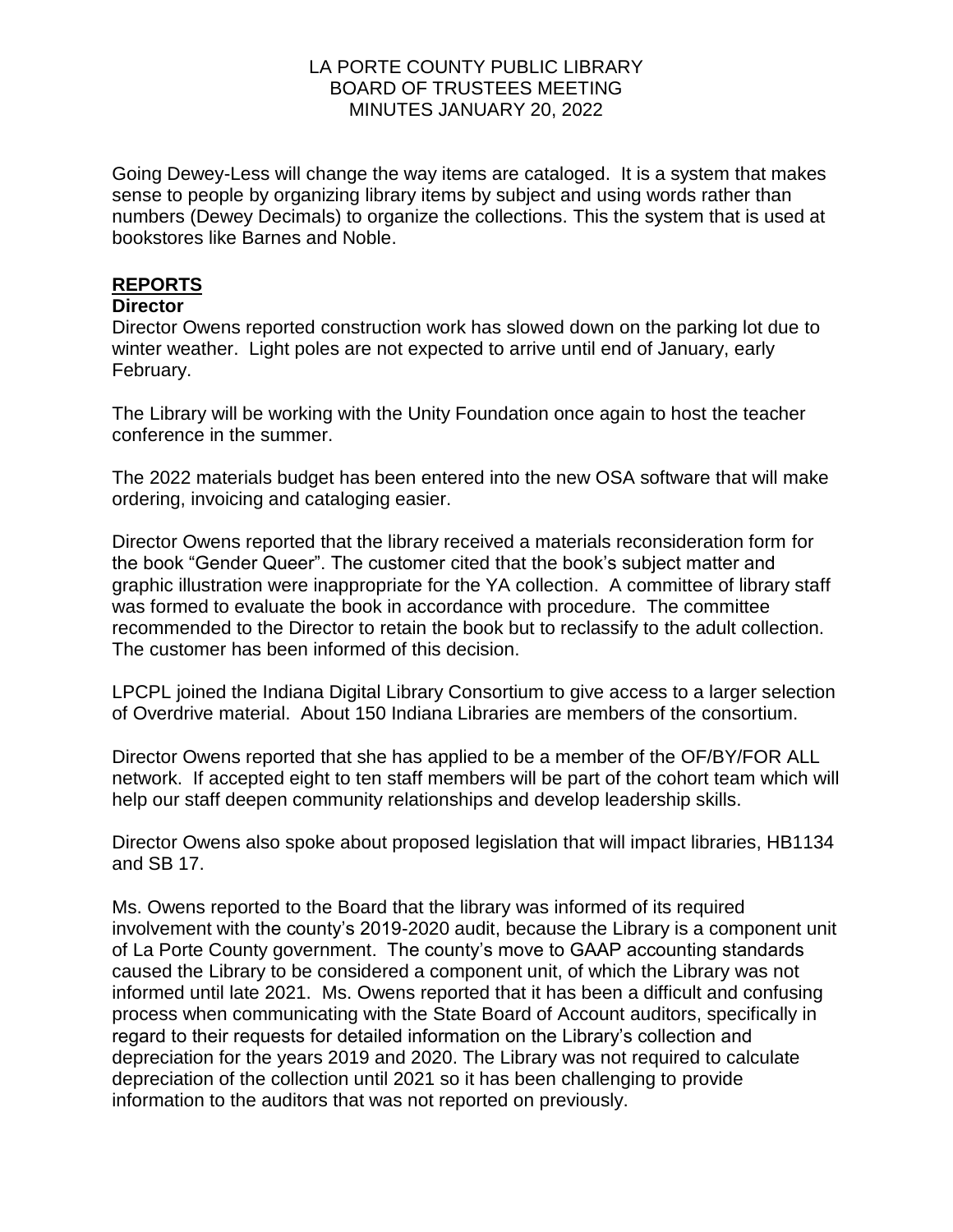Going Dewey-Less will change the way items are cataloged. It is a system that makes sense to people by organizing library items by subject and using words rather than numbers (Dewey Decimals) to organize the collections. This the system that is used at bookstores like Barnes and Noble.

# **REPORTS**

## **Director**

Director Owens reported construction work has slowed down on the parking lot due to winter weather. Light poles are not expected to arrive until end of January, early February.

The Library will be working with the Unity Foundation once again to host the teacher conference in the summer.

The 2022 materials budget has been entered into the new OSA software that will make ordering, invoicing and cataloging easier.

Director Owens reported that the library received a materials reconsideration form for the book "Gender Queer". The customer cited that the book's subject matter and graphic illustration were inappropriate for the YA collection. A committee of library staff was formed to evaluate the book in accordance with procedure. The committee recommended to the Director to retain the book but to reclassify to the adult collection. The customer has been informed of this decision.

LPCPL joined the Indiana Digital Library Consortium to give access to a larger selection of Overdrive material. About 150 Indiana Libraries are members of the consortium.

Director Owens reported that she has applied to be a member of the OF/BY/FOR ALL network. If accepted eight to ten staff members will be part of the cohort team which will help our staff deepen community relationships and develop leadership skills.

Director Owens also spoke about proposed legislation that will impact libraries, HB1134 and SB 17.

Ms. Owens reported to the Board that the library was informed of its required involvement with the county's 2019-2020 audit, because the Library is a component unit of La Porte County government. The county's move to GAAP accounting standards caused the Library to be considered a component unit, of which the Library was not informed until late 2021. Ms. Owens reported that it has been a difficult and confusing process when communicating with the State Board of Account auditors, specifically in regard to their requests for detailed information on the Library's collection and depreciation for the years 2019 and 2020. The Library was not required to calculate depreciation of the collection until 2021 so it has been challenging to provide information to the auditors that was not reported on previously.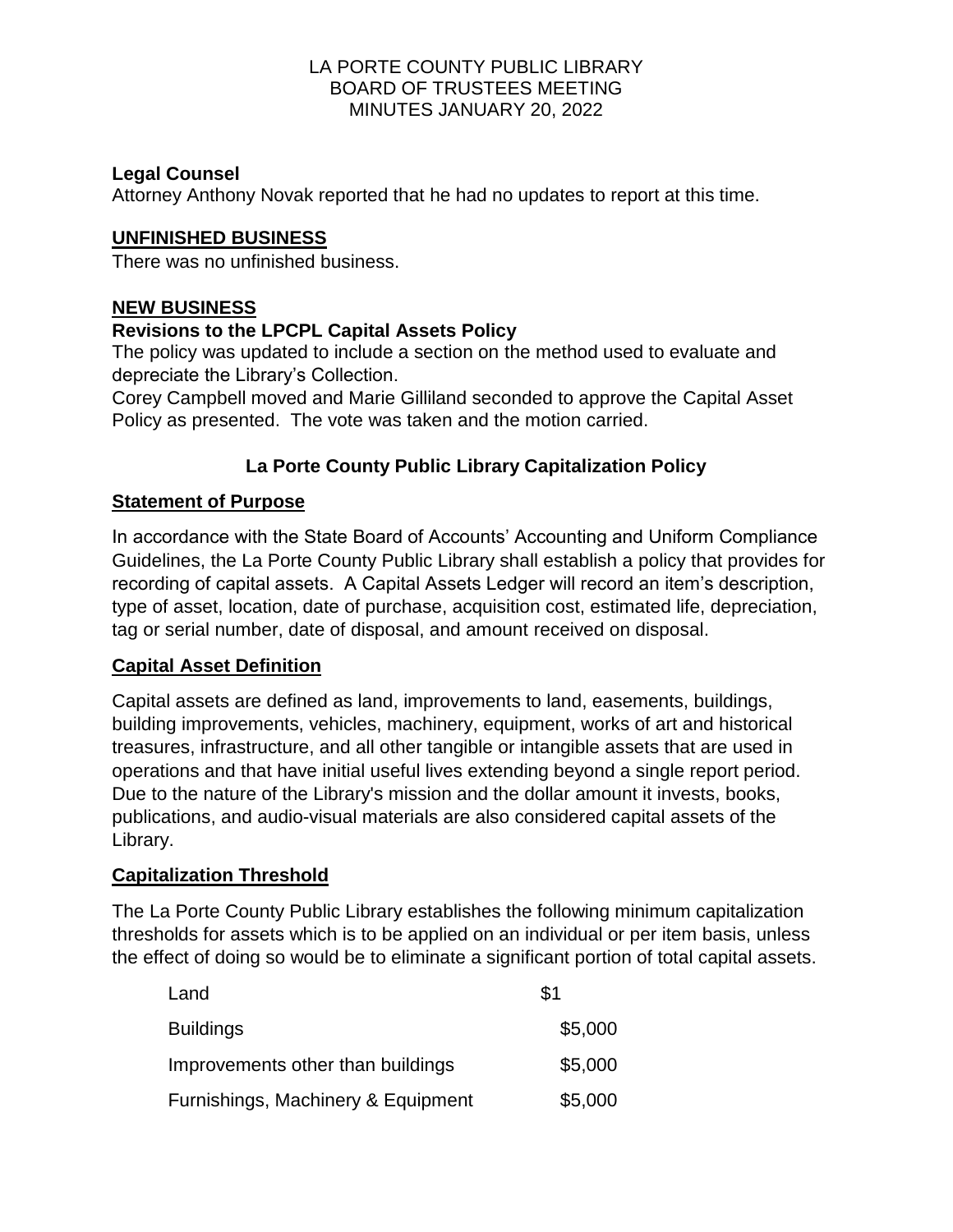## **Legal Counsel**

Attorney Anthony Novak reported that he had no updates to report at this time.

## **UNFINISHED BUSINESS**

There was no unfinished business.

# **NEW BUSINESS**

## **Revisions to the LPCPL Capital Assets Policy**

The policy was updated to include a section on the method used to evaluate and depreciate the Library's Collection.

Corey Campbell moved and Marie Gilliland seconded to approve the Capital Asset Policy as presented. The vote was taken and the motion carried.

# **La Porte County Public Library Capitalization Policy**

## **Statement of Purpose**

In accordance with the State Board of Accounts' Accounting and Uniform Compliance Guidelines, the La Porte County Public Library shall establish a policy that provides for recording of capital assets. A Capital Assets Ledger will record an item's description, type of asset, location, date of purchase, acquisition cost, estimated life, depreciation, tag or serial number, date of disposal, and amount received on disposal.

# **Capital Asset Definition**

Capital assets are defined as land, improvements to land, easements, buildings, building improvements, vehicles, machinery, equipment, works of art and historical treasures, infrastructure, and all other tangible or intangible assets that are used in operations and that have initial useful lives extending beyond a single report period. Due to the nature of the Library's mission and the dollar amount it invests, books, publications, and audio-visual materials are also considered capital assets of the Library.

# **Capitalization Threshold**

The La Porte County Public Library establishes the following minimum capitalization thresholds for assets which is to be applied on an individual or per item basis, unless the effect of doing so would be to eliminate a significant portion of total capital assets.

| Land                               | \$1     |
|------------------------------------|---------|
| <b>Buildings</b>                   | \$5,000 |
| Improvements other than buildings  | \$5,000 |
| Furnishings, Machinery & Equipment | \$5,000 |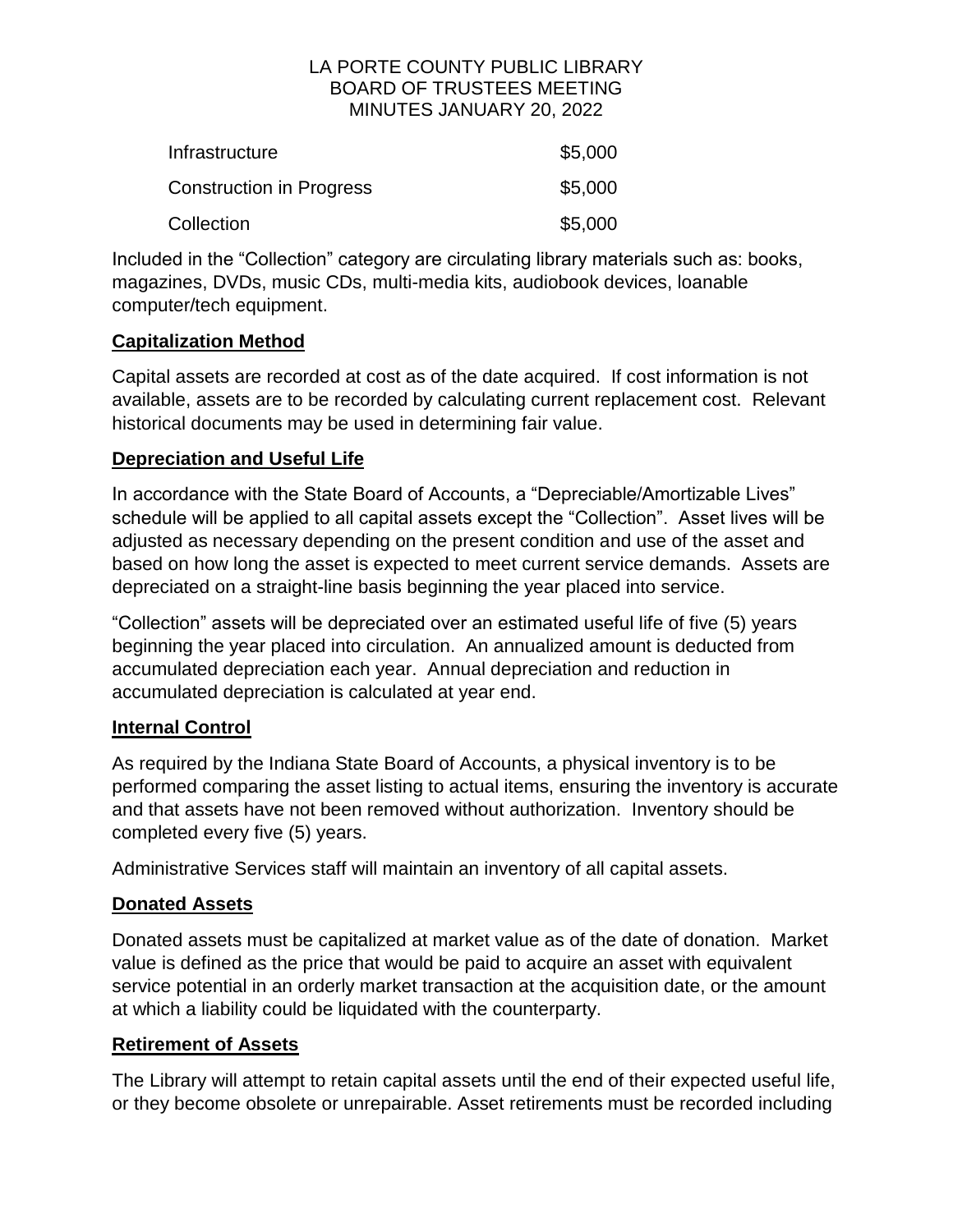| <b>Infrastructure</b>           | \$5,000 |
|---------------------------------|---------|
| <b>Construction in Progress</b> | \$5,000 |
| Collection                      | \$5,000 |

Included in the "Collection" category are circulating library materials such as: books, magazines, DVDs, music CDs, multi-media kits, audiobook devices, loanable computer/tech equipment.

## **Capitalization Method**

Capital assets are recorded at cost as of the date acquired. If cost information is not available, assets are to be recorded by calculating current replacement cost. Relevant historical documents may be used in determining fair value.

# **Depreciation and Useful Life**

In accordance with the State Board of Accounts, a "Depreciable/Amortizable Lives" schedule will be applied to all capital assets except the "Collection". Asset lives will be adjusted as necessary depending on the present condition and use of the asset and based on how long the asset is expected to meet current service demands. Assets are depreciated on a straight-line basis beginning the year placed into service.

"Collection" assets will be depreciated over an estimated useful life of five (5) years beginning the year placed into circulation. An annualized amount is deducted from accumulated depreciation each year. Annual depreciation and reduction in accumulated depreciation is calculated at year end.

# **Internal Control**

As required by the Indiana State Board of Accounts, a physical inventory is to be performed comparing the asset listing to actual items, ensuring the inventory is accurate and that assets have not been removed without authorization. Inventory should be completed every five (5) years.

Administrative Services staff will maintain an inventory of all capital assets.

# **Donated Assets**

Donated assets must be capitalized at market value as of the date of donation. Market value is defined as the price that would be paid to acquire an asset with equivalent service potential in an orderly market transaction at the acquisition date, or the amount at which a liability could be liquidated with the counterparty.

# **Retirement of Assets**

The Library will attempt to retain capital assets until the end of their expected useful life, or they become obsolete or unrepairable. Asset retirements must be recorded including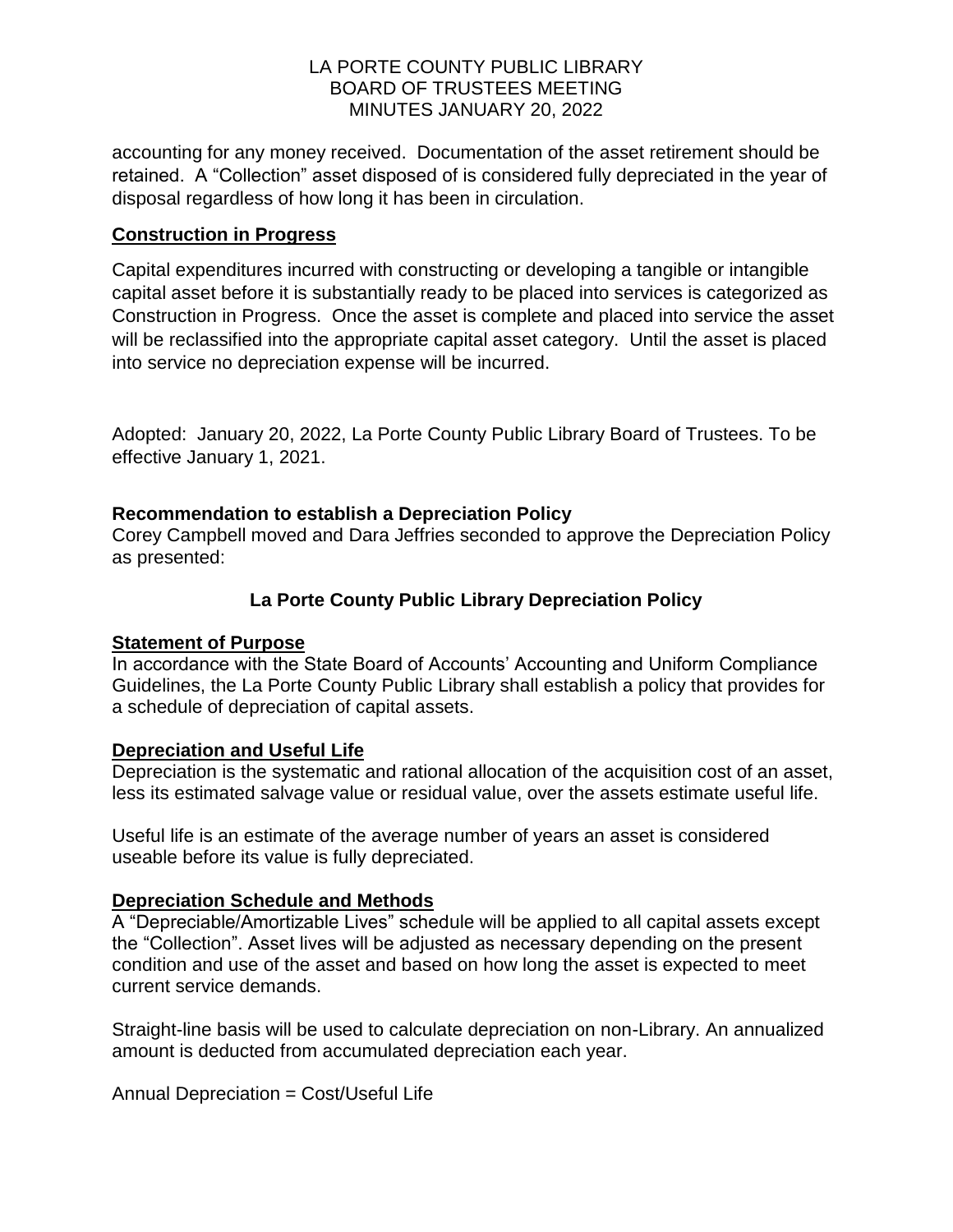accounting for any money received. Documentation of the asset retirement should be retained. A "Collection" asset disposed of is considered fully depreciated in the year of disposal regardless of how long it has been in circulation.

## **Construction in Progress**

Capital expenditures incurred with constructing or developing a tangible or intangible capital asset before it is substantially ready to be placed into services is categorized as Construction in Progress. Once the asset is complete and placed into service the asset will be reclassified into the appropriate capital asset category. Until the asset is placed into service no depreciation expense will be incurred.

Adopted: January 20, 2022, La Porte County Public Library Board of Trustees. To be effective January 1, 2021.

## **Recommendation to establish a Depreciation Policy**

Corey Campbell moved and Dara Jeffries seconded to approve the Depreciation Policy as presented:

# **La Porte County Public Library Depreciation Policy**

## **Statement of Purpose**

In accordance with the State Board of Accounts' Accounting and Uniform Compliance Guidelines, the La Porte County Public Library shall establish a policy that provides for a schedule of depreciation of capital assets.

# **Depreciation and Useful Life**

Depreciation is the systematic and rational allocation of the acquisition cost of an asset, less its estimated salvage value or residual value, over the assets estimate useful life.

Useful life is an estimate of the average number of years an asset is considered useable before its value is fully depreciated.

# **Depreciation Schedule and Methods**

A "Depreciable/Amortizable Lives" schedule will be applied to all capital assets except the "Collection". Asset lives will be adjusted as necessary depending on the present condition and use of the asset and based on how long the asset is expected to meet current service demands.

Straight-line basis will be used to calculate depreciation on non-Library. An annualized amount is deducted from accumulated depreciation each year.

Annual Depreciation = Cost/Useful Life